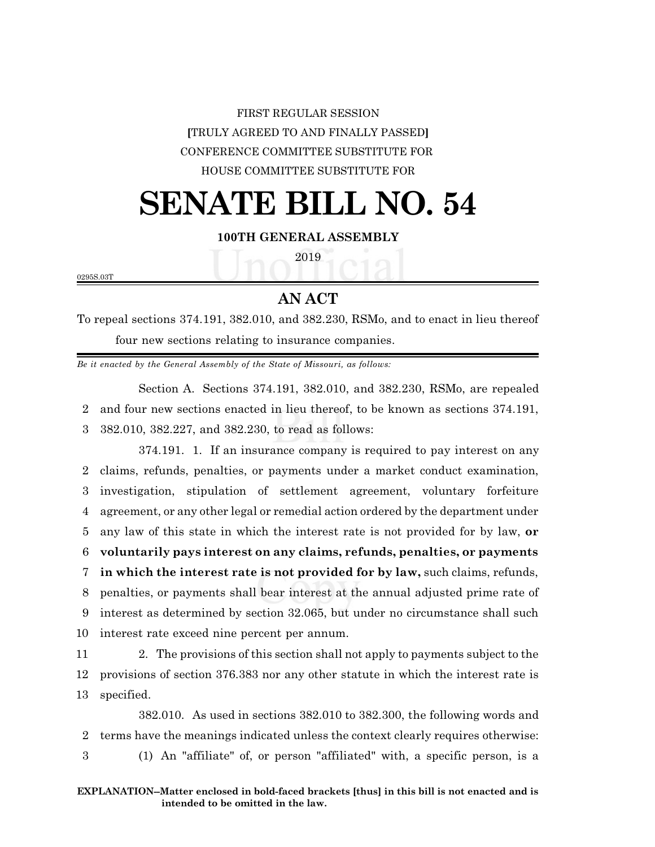## FIRST REGULAR SESSION **[**TRULY AGREED TO AND FINALLY PASSED**]** CONFERENCE COMMITTEE SUBSTITUTE FOR HOUSE COMMITTEE SUBSTITUTE FOR

# **SENATE BILL NO. 54**

### **100TH GENERAL ASSEMBLY**

2019

0295S.03T

### **AN ACT**

To repeal sections 374.191, 382.010, and 382.230, RSMo, and to enact in lieu thereof four new sections relating to insurance companies.

*Be it enacted by the General Assembly of the State of Missouri, as follows:*

Section A. Sections 374.191, 382.010, and 382.230, RSMo, are repealed 2 and four new sections enacted in lieu thereof, to be known as sections 374.191, 3 382.010, 382.227, and 382.230, to read as follows:

374.191. 1. If an insurance company is required to pay interest on any claims, refunds, penalties, or payments under a market conduct examination, investigation, stipulation of settlement agreement, voluntary forfeiture agreement, or any other legal or remedial action ordered by the department under any law of this state in which the interest rate is not provided for by law, **or voluntarily pays interest on any claims, refunds, penalties, or payments in which the interest rate is not provided for by law,** such claims, refunds, penalties, or payments shall bear interest at the annual adjusted prime rate of interest as determined by section 32.065, but under no circumstance shall such interest rate exceed nine percent per annum.

11 2. The provisions of this section shall not apply to payments subject to the 12 provisions of section 376.383 nor any other statute in which the interest rate is 13 specified.

382.010. As used in sections 382.010 to 382.300, the following words and 2 terms have the meanings indicated unless the context clearly requires otherwise: 3 (1) An "affiliate" of, or person "affiliated" with, a specific person, is a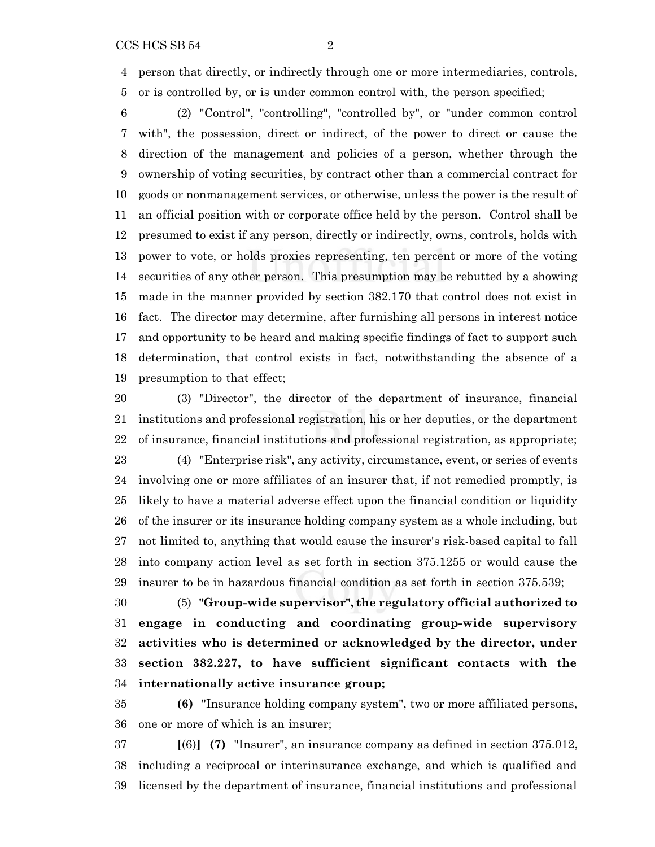person that directly, or indirectly through one or more intermediaries, controls,

or is controlled by, or is under common control with, the person specified;

 (2) "Control", "controlling", "controlled by", or "under common control with", the possession, direct or indirect, of the power to direct or cause the direction of the management and policies of a person, whether through the ownership of voting securities, by contract other than a commercial contract for goods or nonmanagement services, or otherwise, unless the power is the result of an official position with or corporate office held by the person. Control shall be presumed to exist if any person, directly or indirectly, owns, controls, holds with power to vote, or holds proxies representing, ten percent or more of the voting securities of any other person. This presumption may be rebutted by a showing made in the manner provided by section 382.170 that control does not exist in fact. The director may determine, after furnishing all persons in interest notice and opportunity to be heard and making specific findings of fact to support such determination, that control exists in fact, notwithstanding the absence of a presumption to that effect;

 (3) "Director", the director of the department of insurance, financial institutions and professional registration, his or her deputies, or the department of insurance, financial institutions and professional registration, as appropriate; (4) "Enterprise risk", any activity, circumstance, event, or series of events involving one or more affiliates of an insurer that, if not remedied promptly, is likely to have a material adverse effect upon the financial condition or liquidity of the insurer or its insurance holding company system as a whole including, but not limited to, anything that would cause the insurer's risk-based capital to fall into company action level as set forth in section 375.1255 or would cause the insurer to be in hazardous financial condition as set forth in section 375.539;

 (5) **"Group-wide supervisor", the regulatory official authorized to engage in conducting and coordinating group-wide supervisory activities who is determined or acknowledged by the director, under section 382.227, to have sufficient significant contacts with the internationally active insurance group;**

 **(6)** "Insurance holding company system", two or more affiliated persons, one or more of which is an insurer;

 **[**(6)**] (7)** "Insurer", an insurance company as defined in section 375.012, including a reciprocal or interinsurance exchange, and which is qualified and licensed by the department of insurance, financial institutions and professional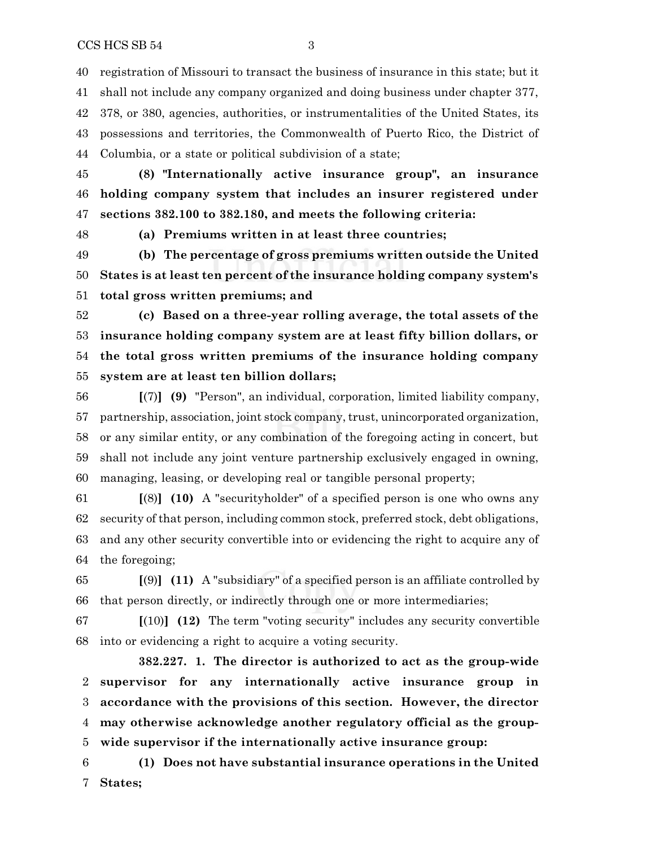registration of Missouri to transact the business of insurance in this state; but it shall not include any company organized and doing business under chapter 377, 378, or 380, agencies, authorities, or instrumentalities of the United States, its possessions and territories, the Commonwealth of Puerto Rico, the District of Columbia, or a state or political subdivision of a state;

 **(8) "Internationally active insurance group", an insurance holding company system that includes an insurer registered under sections 382.100 to 382.180, and meets the following criteria:**

**(a) Premiums written in at least three countries;**

 **(b) The percentage of gross premiums written outside the United States is at least ten percent of the insurance holding company system's total gross written premiums; and**

 **(c) Based on a three-year rolling average, the total assets of the insurance holding company system are at least fifty billion dollars, or the total gross written premiums of the insurance holding company system are at least ten billion dollars;**

 **[**(7)**] (9)** "Person", an individual, corporation, limited liability company, 57 partnership, association, joint stock company, trust, unincorporated organization, or any similar entity, or any combination of the foregoing acting in concert, but shall not include any joint venture partnership exclusively engaged in owning, managing, leasing, or developing real or tangible personal property;

 **[**(8)**] (10)** A "securityholder" of a specified person is one who owns any security of that person, including common stock, preferred stock, debt obligations, and any other security convertible into or evidencing the right to acquire any of the foregoing;

 **[**(9)**] (11)** A "subsidiary" of a specified person is an affiliate controlled by that person directly, or indirectly through one or more intermediaries;

 **[**(10)**] (12)** The term "voting security" includes any security convertible into or evidencing a right to acquire a voting security.

**382.227. 1. The director is authorized to act as the group-wide supervisor for any internationally active insurance group in accordance with the provisions of this section. However, the director may otherwise acknowledge another regulatory official as the group-wide supervisor if the internationally active insurance group:**

 **(1) Does not have substantial insurance operations in the United States;**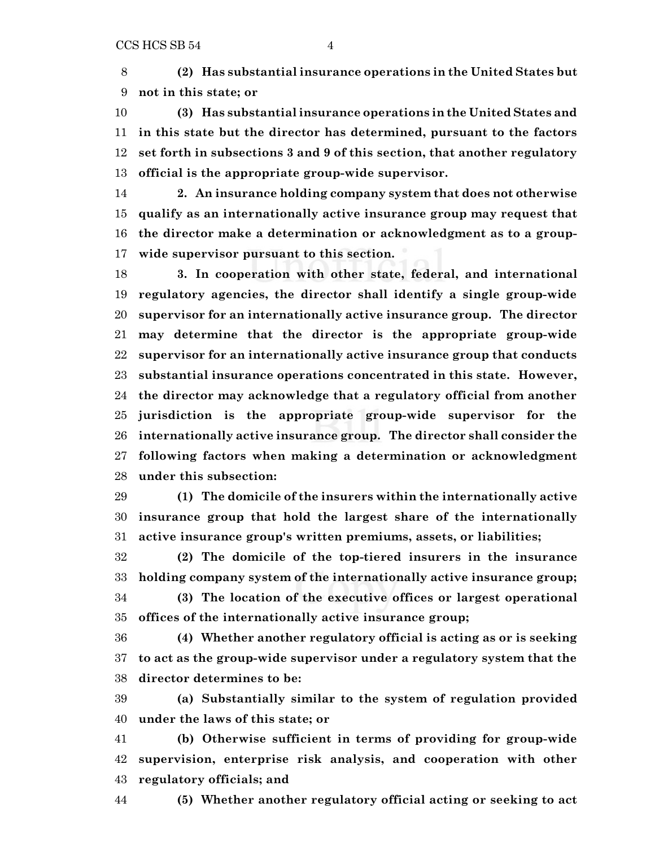**(2) Has substantial insurance operations in the United States but not in this state; or**

 **(3) Has substantial insurance operations in the United States and in this state but the director has determined, pursuant to the factors set forth in subsections 3 and 9 of this section, that another regulatory official is the appropriate group-wide supervisor.**

 **2. An insurance holding company system that does not otherwise qualify as an internationally active insurance group may request that the director make a determination or acknowledgment as to a group-wide supervisor pursuant to this section.**

 **3. In cooperation with other state, federal, and international regulatory agencies, the director shall identify a single group-wide supervisor for an internationally active insurance group. The director may determine that the director is the appropriate group-wide supervisor for an internationally active insurance group that conducts substantial insurance operations concentrated in this state. However, the director may acknowledge that a regulatory official from another jurisdiction is the appropriate group-wide supervisor for the internationally active insurance group. The director shall consider the following factors when making a determination or acknowledgment under this subsection:**

 **(1) The domicile of the insurers within the internationally active insurance group that hold the largest share of the internationally active insurance group's written premiums, assets, or liabilities;**

 **(2) The domicile of the top-tiered insurers in the insurance holding company system of the internationally active insurance group; (3) The location of the executive offices or largest operational**

**offices of the internationally active insurance group;**

 **(4) Whether another regulatory official is acting as or is seeking to act as the group-wide supervisor under a regulatory system that the director determines to be:**

 **(a) Substantially similar to the system of regulation provided under the laws of this state; or**

 **(b) Otherwise sufficient in terms of providing for group-wide supervision, enterprise risk analysis, and cooperation with other regulatory officials; and**

**(5) Whether another regulatory official acting or seeking to act**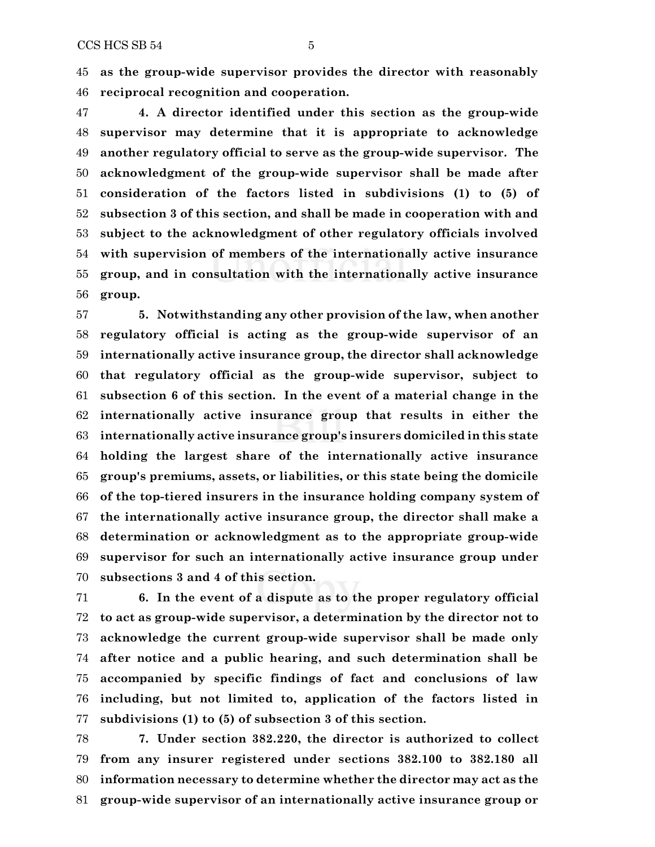**as the group-wide supervisor provides the director with reasonably reciprocal recognition and cooperation.**

 **4. A director identified under this section as the group-wide supervisor may determine that it is appropriate to acknowledge another regulatory official to serve as the group-wide supervisor. The acknowledgment of the group-wide supervisor shall be made after consideration of the factors listed in subdivisions (1) to (5) of subsection 3 of this section, and shall be made in cooperation with and subject to the acknowledgment of other regulatory officials involved with supervision of members of the internationally active insurance group, and in consultation with the internationally active insurance group.**

 **5. Notwithstanding any other provision of the law, when another regulatory official is acting as the group-wide supervisor of an internationally active insurance group, the director shall acknowledge that regulatory official as the group-wide supervisor, subject to subsection 6 of this section. In the event of a material change in the internationally active insurance group that results in either the internationally active insurance group's insurers domiciled in this state holding the largest share of the internationally active insurance group's premiums, assets, or liabilities, or this state being the domicile of the top-tiered insurers in the insurance holding company system of the internationally active insurance group, the director shall make a determination or acknowledgment as to the appropriate group-wide supervisor for such an internationally active insurance group under subsections 3 and 4 of this section.**

 **6. In the event of a dispute as to the proper regulatory official to act as group-wide supervisor, a determination by the director not to acknowledge the current group-wide supervisor shall be made only after notice and a public hearing, and such determination shall be accompanied by specific findings of fact and conclusions of law including, but not limited to, application of the factors listed in subdivisions (1) to (5) of subsection 3 of this section.**

 **7. Under section 382.220, the director is authorized to collect from any insurer registered under sections 382.100 to 382.180 all information necessary to determine whether the director may act as the group-wide supervisor of an internationally active insurance group or**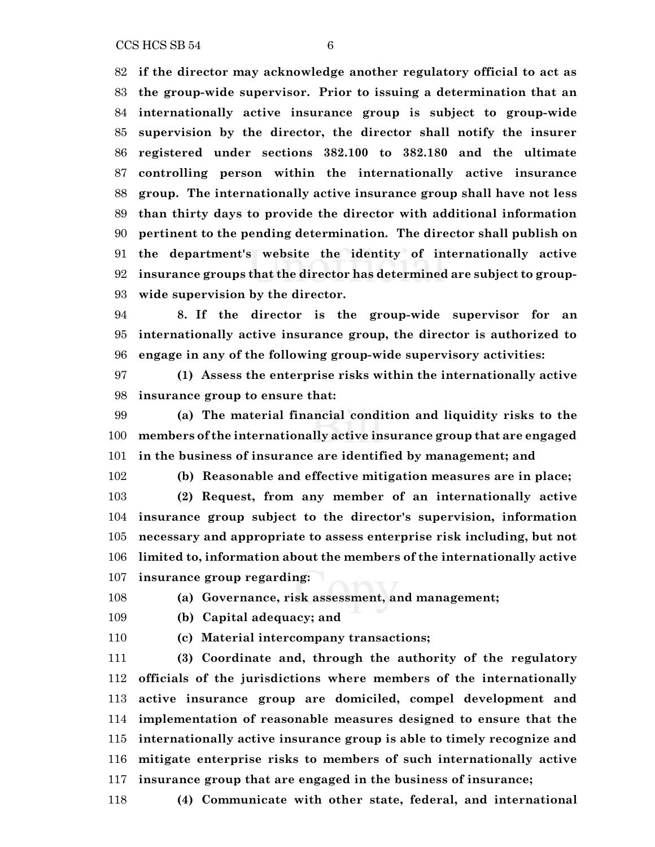$CCS HCS SB 54$  6

 **if the director may acknowledge another regulatory official to act as the group-wide supervisor. Prior to issuing a determination that an internationally active insurance group is subject to group-wide supervision by the director, the director shall notify the insurer registered under sections 382.100 to 382.180 and the ultimate controlling person within the internationally active insurance group. The internationally active insurance group shall have not less than thirty days to provide the director with additional information pertinent to the pending determination. The director shall publish on the department's website the identity of internationally active insurance groups that the director has determined are subject to group-wide supervision by the director.**

 **8. If the director is the group-wide supervisor for an internationally active insurance group, the director is authorized to engage in any of the following group-wide supervisory activities:**

 **(1) Assess the enterprise risks within the internationally active insurance group to ensure that:**

 **(a) The material financial condition and liquidity risks to the members of the internationally active insurance group that are engaged in the business of insurance are identified by management; and**

**(b) Reasonable and effective mitigation measures are in place;**

 **(2) Request, from any member of an internationally active insurance group subject to the director's supervision, information necessary and appropriate to assess enterprise risk including, but not limited to, information about the members of the internationally active insurance group regarding:**

**(a) Governance, risk assessment, and management;**

**(b) Capital adequacy; and**

**(c) Material intercompany transactions;**

 **(3) Coordinate and, through the authority of the regulatory officials of the jurisdictions where members of the internationally active insurance group are domiciled, compel development and implementation of reasonable measures designed to ensure that the internationally active insurance group is able to timely recognize and mitigate enterprise risks to members of such internationally active insurance group that are engaged in the business of insurance;**

**(4) Communicate with other state, federal, and international**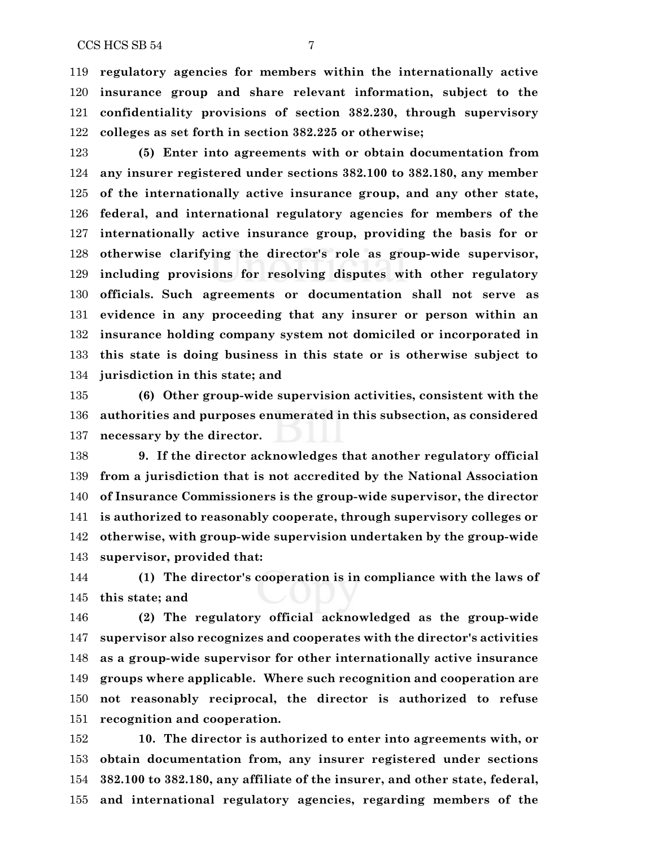**regulatory agencies for members within the internationally active insurance group and share relevant information, subject to the confidentiality provisions of section 382.230, through supervisory colleges as set forth in section 382.225 or otherwise;**

 **(5) Enter into agreements with or obtain documentation from any insurer registered under sections 382.100 to 382.180, any member of the internationally active insurance group, and any other state, federal, and international regulatory agencies for members of the internationally active insurance group, providing the basis for or otherwise clarifying the director's role as group-wide supervisor, including provisions for resolving disputes with other regulatory officials. Such agreements or documentation shall not serve as evidence in any proceeding that any insurer or person within an insurance holding company system not domiciled or incorporated in this state is doing business in this state or is otherwise subject to jurisdiction in this state; and**

 **(6) Other group-wide supervision activities, consistent with the authorities and purposes enumerated in this subsection, as considered necessary by the director.**

 **9. If the director acknowledges that another regulatory official from a jurisdiction that is not accredited by the National Association of Insurance Commissioners is the group-wide supervisor, the director is authorized to reasonably cooperate, through supervisory colleges or otherwise, with group-wide supervision undertaken by the group-wide supervisor, provided that:**

 **(1) The director's cooperation is in compliance with the laws of this state; and**

 **(2) The regulatory official acknowledged as the group-wide supervisor also recognizes and cooperates with the director's activities as a group-wide supervisor for other internationally active insurance groups where applicable. Where such recognition and cooperation are not reasonably reciprocal, the director is authorized to refuse recognition and cooperation.**

 **10. The director is authorized to enter into agreements with, or obtain documentation from, any insurer registered under sections 382.100 to 382.180, any affiliate of the insurer, and other state, federal, and international regulatory agencies, regarding members of the**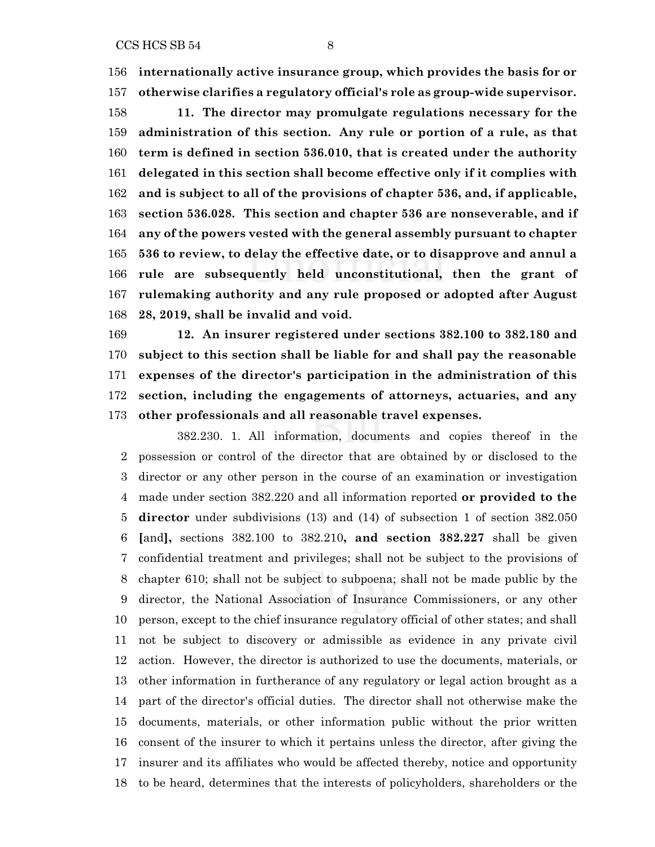**internationally active insurance group, which provides the basis for or otherwise clarifies a regulatory official's role as group-wide supervisor. 11. The director may promulgate regulations necessary for the administration of this section. Any rule or portion of a rule, as that term is defined in section 536.010, that is created under the authority delegated in this section shall become effective only if it complies with and is subject to all of the provisions of chapter 536, and, if applicable, section 536.028. This section and chapter 536 are nonseverable, and if any of the powers vested with the general assembly pursuant to chapter 536 to review, to delay the effective date, or to disapprove and annul a rule are subsequently held unconstitutional, then the grant of rulemaking authority and any rule proposed or adopted after August 28, 2019, shall be invalid and void.**

 **12. An insurer registered under sections 382.100 to 382.180 and subject to this section shall be liable for and shall pay the reasonable expenses of the director's participation in the administration of this section, including the engagements of attorneys, actuaries, and any other professionals and all reasonable travel expenses.**

382.230. 1. All information, documents and copies thereof in the possession or control of the director that are obtained by or disclosed to the director or any other person in the course of an examination or investigation made under section 382.220 and all information reported **or provided to the director** under subdivisions (13) and (14) of subsection 1 of section 382.050 **[**and**],** sections 382.100 to 382.210**, and section 382.227** shall be given confidential treatment and privileges; shall not be subject to the provisions of chapter 610; shall not be subject to subpoena; shall not be made public by the director, the National Association of Insurance Commissioners, or any other person, except to the chief insurance regulatory official of other states; and shall not be subject to discovery or admissible as evidence in any private civil action. However, the director is authorized to use the documents, materials, or other information in furtherance of any regulatory or legal action brought as a part of the director's official duties. The director shall not otherwise make the documents, materials, or other information public without the prior written consent of the insurer to which it pertains unless the director, after giving the insurer and its affiliates who would be affected thereby, notice and opportunity to be heard, determines that the interests of policyholders, shareholders or the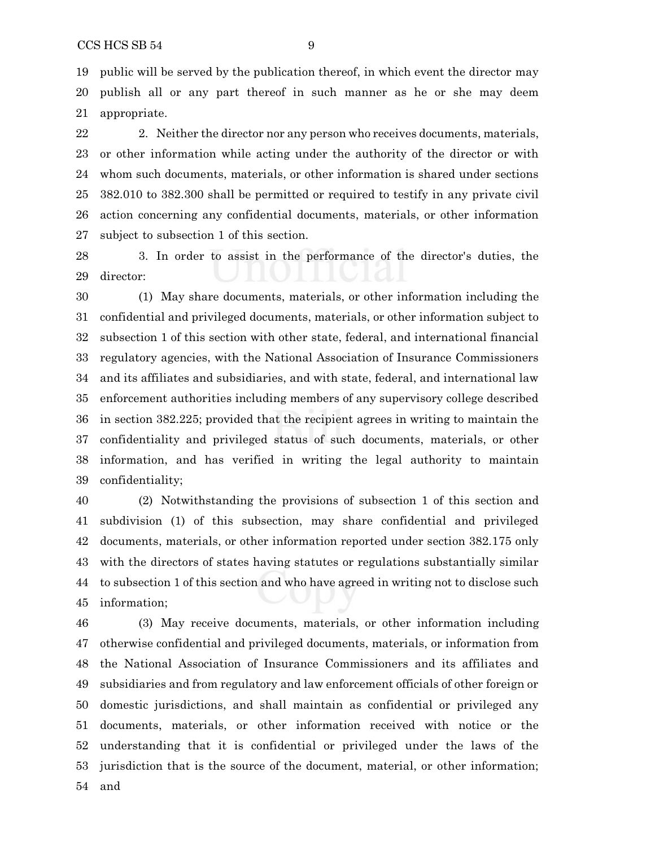public will be served by the publication thereof, in which event the director may publish all or any part thereof in such manner as he or she may deem appropriate.

 2. Neither the director nor any person who receives documents, materials, or other information while acting under the authority of the director or with whom such documents, materials, or other information is shared under sections 382.010 to 382.300 shall be permitted or required to testify in any private civil action concerning any confidential documents, materials, or other information subject to subsection 1 of this section.

 3. In order to assist in the performance of the director's duties, the director:

 (1) May share documents, materials, or other information including the confidential and privileged documents, materials, or other information subject to subsection 1 of this section with other state, federal, and international financial regulatory agencies, with the National Association of Insurance Commissioners and its affiliates and subsidiaries, and with state, federal, and international law enforcement authorities including members of any supervisory college described in section 382.225; provided that the recipient agrees in writing to maintain the confidentiality and privileged status of such documents, materials, or other information, and has verified in writing the legal authority to maintain confidentiality;

 (2) Notwithstanding the provisions of subsection 1 of this section and subdivision (1) of this subsection, may share confidential and privileged documents, materials, or other information reported under section 382.175 only with the directors of states having statutes or regulations substantially similar to subsection 1 of this section and who have agreed in writing not to disclose such information;

 (3) May receive documents, materials, or other information including otherwise confidential and privileged documents, materials, or information from the National Association of Insurance Commissioners and its affiliates and subsidiaries and from regulatory and law enforcement officials of other foreign or domestic jurisdictions, and shall maintain as confidential or privileged any documents, materials, or other information received with notice or the understanding that it is confidential or privileged under the laws of the jurisdiction that is the source of the document, material, or other information; and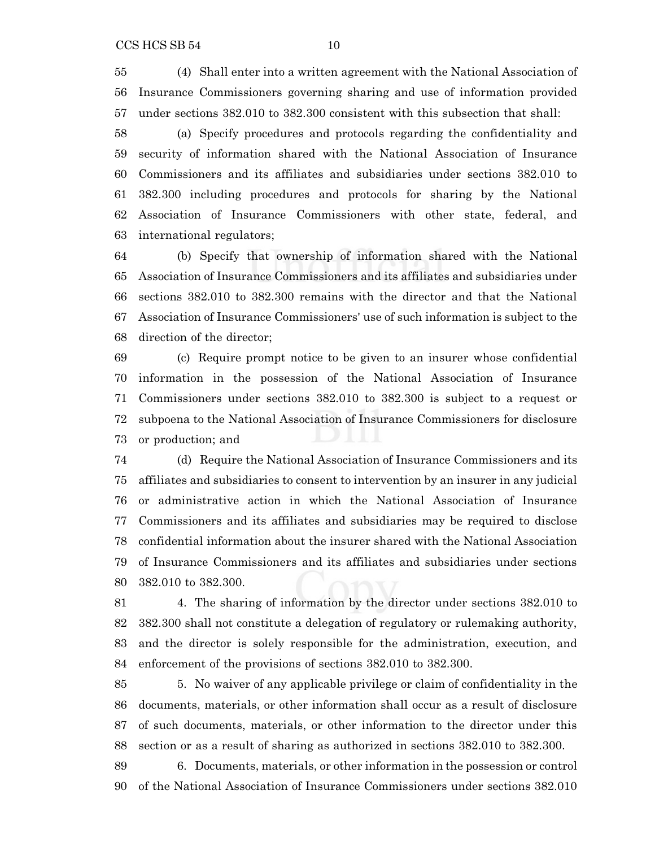(4) Shall enter into a written agreement with the National Association of Insurance Commissioners governing sharing and use of information provided under sections 382.010 to 382.300 consistent with this subsection that shall:

 (a) Specify procedures and protocols regarding the confidentiality and security of information shared with the National Association of Insurance Commissioners and its affiliates and subsidiaries under sections 382.010 to 382.300 including procedures and protocols for sharing by the National Association of Insurance Commissioners with other state, federal, and international regulators;

 (b) Specify that ownership of information shared with the National Association of Insurance Commissioners and its affiliates and subsidiaries under sections 382.010 to 382.300 remains with the director and that the National Association of Insurance Commissioners' use of such information is subject to the direction of the director;

 (c) Require prompt notice to be given to an insurer whose confidential information in the possession of the National Association of Insurance Commissioners under sections 382.010 to 382.300 is subject to a request or subpoena to the National Association of Insurance Commissioners for disclosure or production; and

 (d) Require the National Association of Insurance Commissioners and its affiliates and subsidiaries to consent to intervention by an insurer in any judicial or administrative action in which the National Association of Insurance Commissioners and its affiliates and subsidiaries may be required to disclose confidential information about the insurer shared with the National Association of Insurance Commissioners and its affiliates and subsidiaries under sections 382.010 to 382.300.

 4. The sharing of information by the director under sections 382.010 to 382.300 shall not constitute a delegation of regulatory or rulemaking authority, and the director is solely responsible for the administration, execution, and enforcement of the provisions of sections 382.010 to 382.300.

 5. No waiver of any applicable privilege or claim of confidentiality in the documents, materials, or other information shall occur as a result of disclosure of such documents, materials, or other information to the director under this section or as a result of sharing as authorized in sections 382.010 to 382.300.

 6. Documents, materials, or other information in the possession or control of the National Association of Insurance Commissioners under sections 382.010